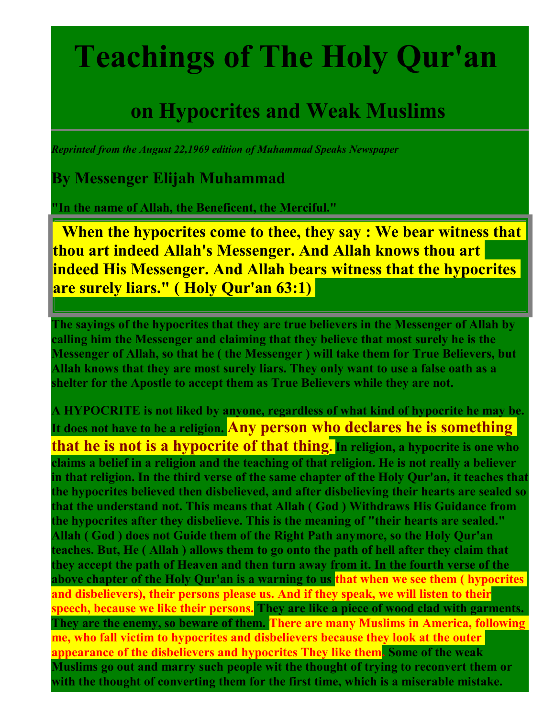## **Teachings of The Holy Qur'an**

## **on Hypocrites and Weak Muslims**

*Reprinted from the August 22,1969 edition of Muhammad Speaks Newspaper* 

**By Messenger Elijah Muhammad**

**"In the name of Allah, the Beneficent, the Merciful."** 

**When the hypocrites come to thee, they say : We bear witness that thou art indeed Allah's Messenger. And Allah knows thou art indeed His Messenger. And Allah bears witness that the hypocrites are surely liars." ( Holy Qur'an 63:1)** 

**The sayings of the hypocrites that they are true believers in the Messenger of Allah by calling him the Messenger and claiming that they believe that most surely he is the Messenger of Allah, so that he ( the Messenger ) will take them for True Believers, but Allah knows that they are most surely liars. They only want to use a false oath as a shelter for the Apostle to accept them as True Believers while they are not.** 

**A HYPOCRITE is not liked by anyone, regardless of what kind of hypocrite he may be. It does not have to be a religion. Any person who declares he is something that he is not is a hypocrite of that thing. In religion, a hypocrite is one who claims a belief in a religion and the teaching of that religion. He is not really a believer in that religion. In the third verse of the same chapter of the Holy Qur'an, it teaches that the hypocrites believed then disbelieved, and after disbelieving their hearts are sealed so that the understand not. This means that Allah ( God ) Withdraws His Guidance from the hypocrites after they disbelieve. This is the meaning of "their hearts are sealed." Allah ( God ) does not Guide them of the Right Path anymore, so the Holy Qur'an teaches. But, He ( Allah ) allows them to go onto the path of hell after they claim that they accept the path of Heaven and then turn away from it. In the fourth verse of the**  above chapter of the Holy Qur'an is a warning to us that when we see them ( hypocrites **and disbelievers), their persons please us. And if they speak, we will listen to their speech, because we like their persons. They are like a piece of wood clad with garments. They are the enemy, so beware of them. There are many Muslims in America, following me, who fall victim to hypocrites and disbelievers because they look at the outer appearance of the disbelievers and hypocrites They like them. Some of the weak Muslims go out and marry such people wit the thought of trying to reconvert them or with the thought of converting them for the first time, which is a miserable mistake.**